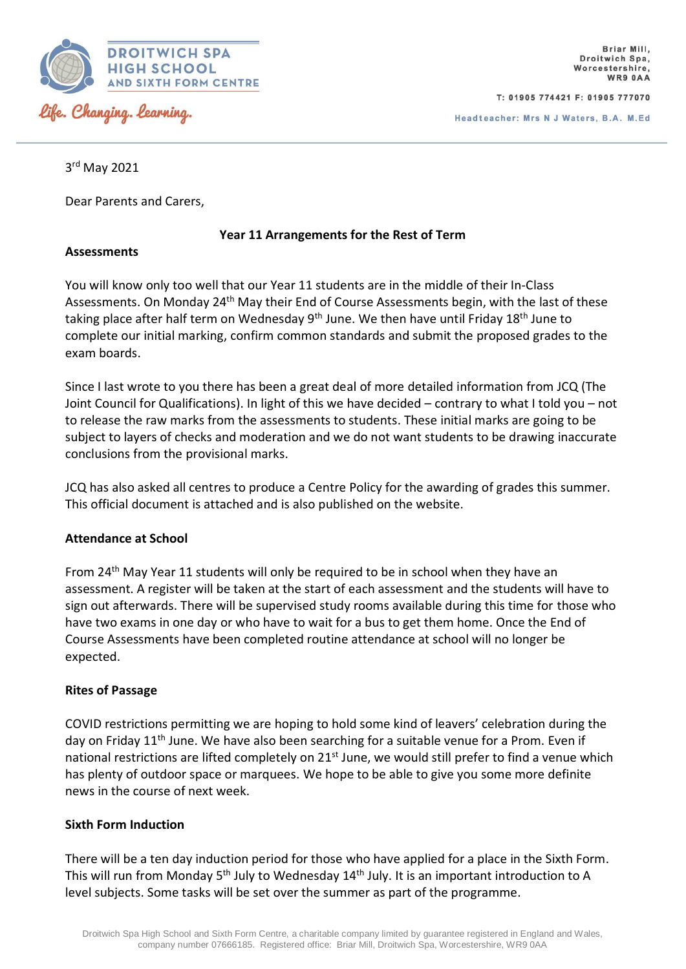

T: 01905 774421 F: 01905 777070

Headteacher: Mrs N J Waters, B.A. M.Ed

3 rd May 2021

Dear Parents and Carers,

# **Year 11 Arrangements for the Rest of Term**

### **Assessments**

You will know only too well that our Year 11 students are in the middle of their In-Class Assessments. On Monday 24<sup>th</sup> May their End of Course Assessments begin, with the last of these taking place after half term on Wednesday  $9<sup>th</sup>$  June. We then have until Friday 18<sup>th</sup> June to complete our initial marking, confirm common standards and submit the proposed grades to the exam boards.

Since I last wrote to you there has been a great deal of more detailed information from JCQ (The Joint Council for Qualifications). In light of this we have decided – contrary to what I told you – not to release the raw marks from the assessments to students. These initial marks are going to be subject to layers of checks and moderation and we do not want students to be drawing inaccurate conclusions from the provisional marks.

JCQ has also asked all centres to produce a Centre Policy for the awarding of grades this summer. This official document is attached and is also published on the website.

# **Attendance at School**

From 24<sup>th</sup> May Year 11 students will only be required to be in school when they have an assessment. A register will be taken at the start of each assessment and the students will have to sign out afterwards. There will be supervised study rooms available during this time for those who have two exams in one day or who have to wait for a bus to get them home. Once the End of Course Assessments have been completed routine attendance at school will no longer be expected.

# **Rites of Passage**

COVID restrictions permitting we are hoping to hold some kind of leavers' celebration during the day on Friday 11<sup>th</sup> June. We have also been searching for a suitable venue for a Prom. Even if national restrictions are lifted completely on 21<sup>st</sup> June, we would still prefer to find a venue which has plenty of outdoor space or marquees. We hope to be able to give you some more definite news in the course of next week.

# **Sixth Form Induction**

There will be a ten day induction period for those who have applied for a place in the Sixth Form. This will run from Monday 5<sup>th</sup> July to Wednesday 14<sup>th</sup> July. It is an important introduction to A level subjects. Some tasks will be set over the summer as part of the programme.